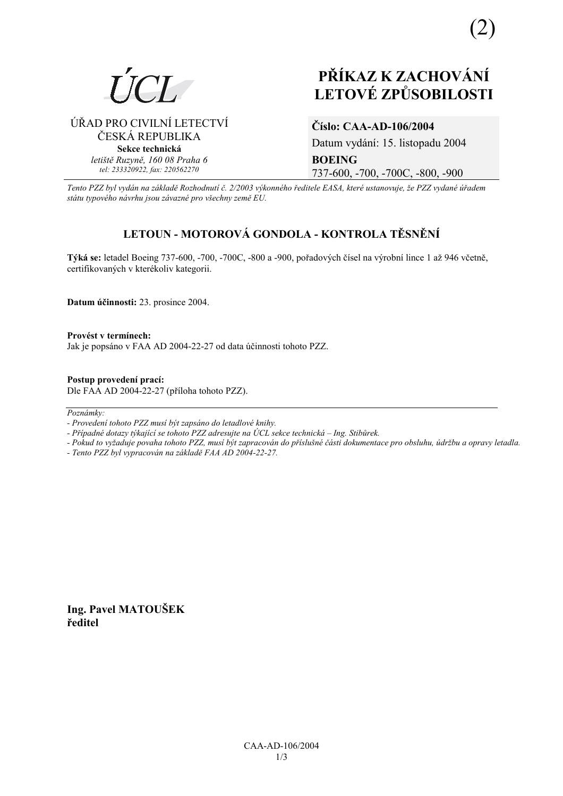

# PŘÍKAZ K ZACHOVÁNÍ **LETOVÉ ZPŮSOBILOSTI**

### ÚŘAD PRO CIVILNÍ LETECTVÍ ČESKÁ REPUBLIKA Sekce technická letiště Ruzyně, 160 08 Praha 6 tel: 233320922, fax: 220562270

## Číslo: CAA-AD-106/2004

Datum vydání: 15. listopadu 2004 **BOEING** 737-600, -700, -700C, -800, -900

Tento PZZ byl vydán na základě Rozhodnutí č. 2/2003 výkonného ředitele EASA, které ustanovuje, že PZZ vydané úřadem státu typového návrhu jsou závazné pro všechny země EU.

# LETOUN - MOTOROVÁ GONDOLA - KONTROLA TĚSNĚNÍ

Týká se: letadel Boeing 737-600, -700, -700C, -800 a -900, pořadových čísel na výrobní lince 1 až 946 včetně, certifikovaných v kterékoliv kategorii.

Datum účinnosti: 23. prosince 2004.

Provést v termínech: Jak je popsáno v FAA AD 2004-22-27 od data účinnosti tohoto PZZ.

Postup provedení prací: Dle FAA AD 2004-22-27 (příloha tohoto PZZ).

Poznámky:

- Pokud to vyžaduje povaha tohoto PZZ, musí být zapracován do příslušné části dokumentace pro obsluhu, údržbu a opravy letadla.
- Tento PZZ byl vypracován na základě FAA AD 2004-22-27.

Ing. Pavel MATOUŠEK ředitel

<sup>-</sup> Provedení tohoto PZZ musí být zapsáno do letadlové knihy.

<sup>-</sup> Případné dotazy týkající se tohoto PZZ adresujte na ÚCL sekce technická – Ing. Stibůrek.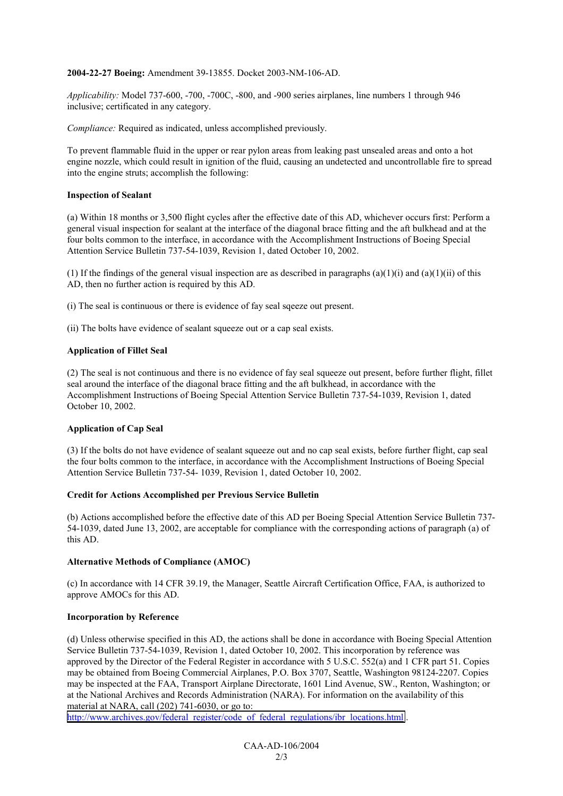#### **2004-22-27 Boeing:** Amendment 39-13855. Docket 2003-NM-106-AD.

*Applicability:* Model 737-600, -700, -700C, -800, and -900 series airplanes, line numbers 1 through 946 inclusive; certificated in any category.

*Compliance:* Required as indicated, unless accomplished previously.

To prevent flammable fluid in the upper or rear pylon areas from leaking past unsealed areas and onto a hot engine nozzle, which could result in ignition of the fluid, causing an undetected and uncontrollable fire to spread into the engine struts; accomplish the following:

#### **Inspection of Sealant**

(a) Within 18 months or 3,500 flight cycles after the effective date of this AD, whichever occurs first: Perform a general visual inspection for sealant at the interface of the diagonal brace fitting and the aft bulkhead and at the four bolts common to the interface, in accordance with the Accomplishment Instructions of Boeing Special Attention Service Bulletin 737-54-1039, Revision 1, dated October 10, 2002.

(1) If the findings of the general visual inspection are as described in paragraphs (a)(1)(i) and (a)(1)(ii) of this AD, then no further action is required by this AD.

(i) The seal is continuous or there is evidence of fay seal sqeeze out present.

(ii) The bolts have evidence of sealant squeeze out or a cap seal exists.

#### **Application of Fillet Seal**

(2) The seal is not continuous and there is no evidence of fay seal squeeze out present, before further flight, fillet seal around the interface of the diagonal brace fitting and the aft bulkhead, in accordance with the Accomplishment Instructions of Boeing Special Attention Service Bulletin 737-54-1039, Revision 1, dated October 10, 2002.

#### **Application of Cap Seal**

(3) If the bolts do not have evidence of sealant squeeze out and no cap seal exists, before further flight, cap seal the four bolts common to the interface, in accordance with the Accomplishment Instructions of Boeing Special Attention Service Bulletin 737-54- 1039, Revision 1, dated October 10, 2002.

#### **Credit for Actions Accomplished per Previous Service Bulletin**

(b) Actions accomplished before the effective date of this AD per Boeing Special Attention Service Bulletin 737- 54-1039, dated June 13, 2002, are acceptable for compliance with the corresponding actions of paragraph (a) of this AD.

#### **Alternative Methods of Compliance (AMOC)**

(c) In accordance with 14 CFR 39.19, the Manager, Seattle Aircraft Certification Office, FAA, is authorized to approve AMOCs for this AD.

#### **Incorporation by Reference**

(d) Unless otherwise specified in this AD, the actions shall be done in accordance with Boeing Special Attention Service Bulletin 737-54-1039, Revision 1, dated October 10, 2002. This incorporation by reference was approved by the Director of the Federal Register in accordance with 5 U.S.C. 552(a) and 1 CFR part 51. Copies may be obtained from Boeing Commercial Airplanes, P.O. Box 3707, Seattle, Washington 98124-2207. Copies may be inspected at the FAA, Transport Airplane Directorate, 1601 Lind Avenue, SW., Renton, Washington; or at the National Archives and Records Administration (NARA). For information on the availability of this material at NARA, call (202) 741-6030, or go to:

[http://www.archives.gov/federal\\_register/code\\_of\\_federal\\_regulations/ibr\\_locations.html](http://www.archives.gov/federal_register/code_of_federal_regulations/ibr_locations.html) .